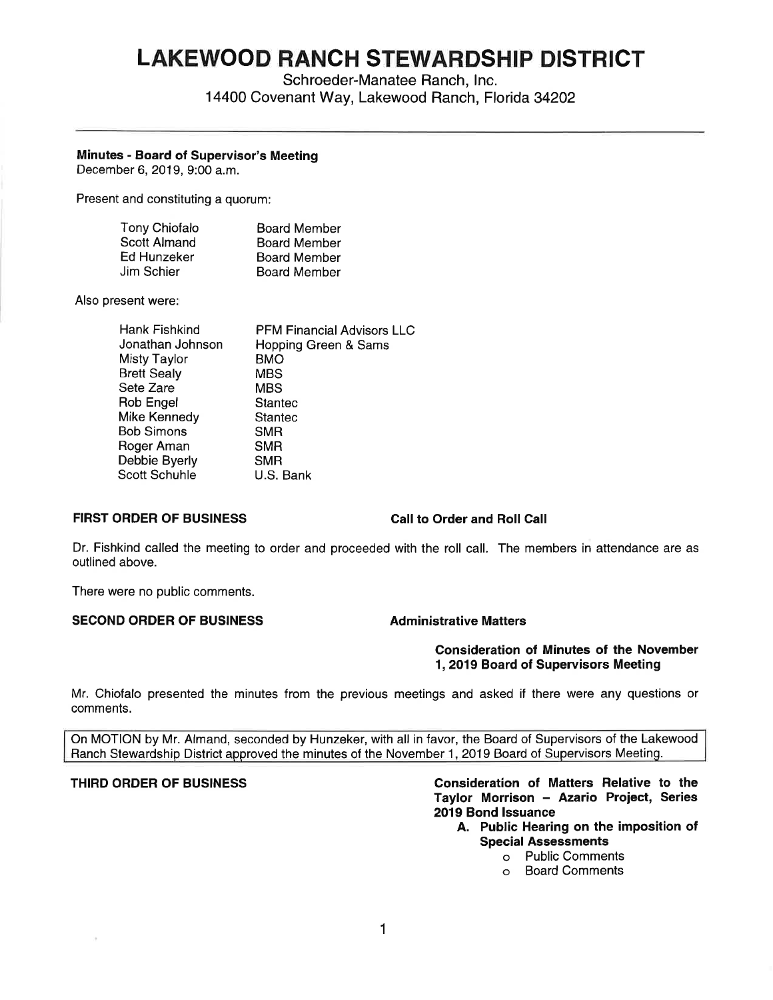# **LAKEWOOD RANCH STEWARDSHIP DISTRICT**

Schroeder-Manatee Ranch, Inc.

14400 Covenant Way, Lakewood Ranch, Florida 34202

# **Minutes** - **Board of Supervisor's Meeting**

December 6, 2019, 9:00 a.m.

Present and constituting a quorum:

| <b>Tony Chiofalo</b> | <b>Board Member</b> |
|----------------------|---------------------|
| Scott Almand         | <b>Board Member</b> |
| Ed Hunzeker          | <b>Board Member</b> |
| Jim Schier           | <b>Board Member</b> |

Also present were:

| <b>Hank Fishkind</b> | <b>PFM Financial Advisors LLC</b> |
|----------------------|-----------------------------------|
| Jonathan Johnson     | Hopping Green & Sams              |
| <b>Misty Taylor</b>  | BMO                               |
| <b>Brett Sealy</b>   | <b>MBS</b>                        |
| Sete Zare            | <b>MBS</b>                        |
| Rob Engel            | <b>Stantec</b>                    |
| Mike Kennedy         | <b>Stantec</b>                    |
| Bob Simons           | <b>SMR</b>                        |
| Roger Aman           | <b>SMR</b>                        |
| Debbie Byerly        | <b>SMR</b>                        |
| <b>Scott Schuhle</b> | U.S. Bank                         |
|                      |                                   |

# **FIRST ORDER OF BUSINESS Call to Order and Roll Call**

Dr. Fishkind called the meeting to order and proceeded with the roll call. The members in attendance are as outlined above.

There were no public comments.

# **SECOND ORDER OF BUSINESS Administrative Matters**

**Consideration of Minutes of the November 1, 2019 Board of Supervisors Meeting** 

Mr. Chiofalo presented the minutes from the previous meetings and asked if there were any questions or comments.

On MOTION by Mr. Almand, seconded by Hunzeker, with all in favor, the Board of Supervisors of the Lakewood Ranch Stewardship District approved the minutes of the November 1, 2019 Board of Supervisors Meeting.

### **THIRD ORDER OF BUSINESS Consideration of Matters Relative to the Taylor Morrison** - **Azario Project, Series 2019 Bond Issuance**

- **A. Public Hearing on the imposition of Special Assessments** 
	- o Public Comments
	- o Board Comments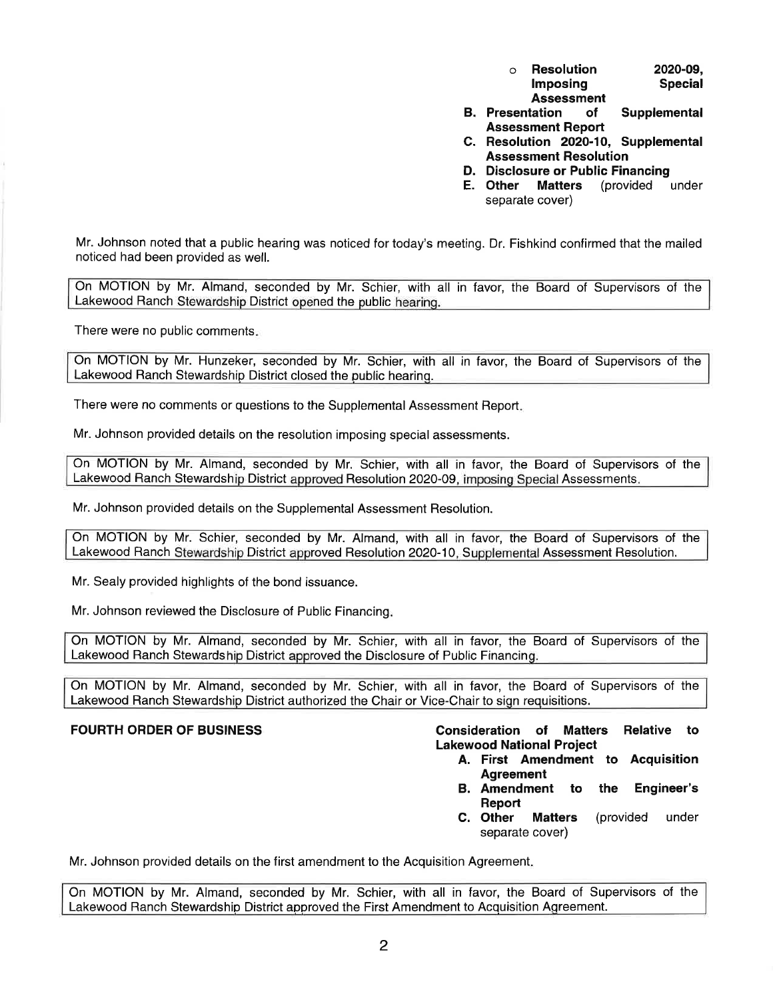| $\circ$ | <b>Resolution</b> | 2020-09.       |
|---------|-------------------|----------------|
|         | Imposing          | <b>Special</b> |
|         | <b>Assessment</b> |                |

- **B. Presentation of Supplemental Assessment Report**
- **C. Resolution 2020-10, Supplemental Assessment Resolution**
- **D. Disclosure or Public Financing**
- **E. Other Matters** (provided under separate cover)

Mr. Johnson noted that a public hearing was noticed for today's meeting. Dr. Fishkind confirmed that the mailed noticed had been provided as well.

On MOTION by Mr. Almand, seconded by Mr. Schier, with all in favor, the Board of Supervisors of the Lakewood Ranch Stewardship District opened the public hearing.

There were no public comments.

On MOTION by Mr. Hunzeker, seconded by Mr. Schier, with all in favor, the Board of Supervisors of the Lakewood Ranch Stewardship District closed the public hearing.

There were no comments or questions to the Supplemental Assessment Report.

Mr. Johnson provided details on the resolution imposing special assessments.

On MOTION by Mr. Almand, seconded by Mr. Schier, with all in favor, the Board of Supervisors of the Lakewood Ranch Stewardship District approved Resolution 2020-09, imposing Special Assessments.

Mr. Johnson provided details on the Supplemental Assessment Resolution.

On MOTION by Mr. Schier, seconded by Mr. Almand, with all in favor, the Board of Supervisors of the Lakewood Ranch Stewardship District approved Resolution 2020-10, Supplemental Assessment Resolution.

Mr. Sealy provided highlights of the bond issuance.

Mr. Johnson reviewed the Disclosure of Public Financing.

On MOTION by Mr. Almand, seconded by Mr. Schier, with all in favor, the Board of Supervisors of the Lakewood Ranch Stewardship District approved the Disclosure of Public Financing.

On MOTION by Mr. Almand, seconded by Mr. Schier, with all in favor, the Board of Supervisors of the Lakewood Ranch Stewardship District authorized the Chair or Vice-Chair to sign requisitions.

**FOURTH ORDER OF BUSINESS Consideration of Matters Relative to Lakewood National Project** 

- **A. First Amendment to Acquisition Agreement**
- **8. Amendment to the Engineer's Report**
- **C. Other Matters** (provided under separate cover)

Mr. Johnson provided details on the first amendment to the Acquisition Agreement.

On MOTION by Mr. Almand, seconded by Mr. Schier, with all in favor, the Board of Supervisors of the Lakewood Ranch Stewardship District approved the First Amendment to Acquisition Agreement.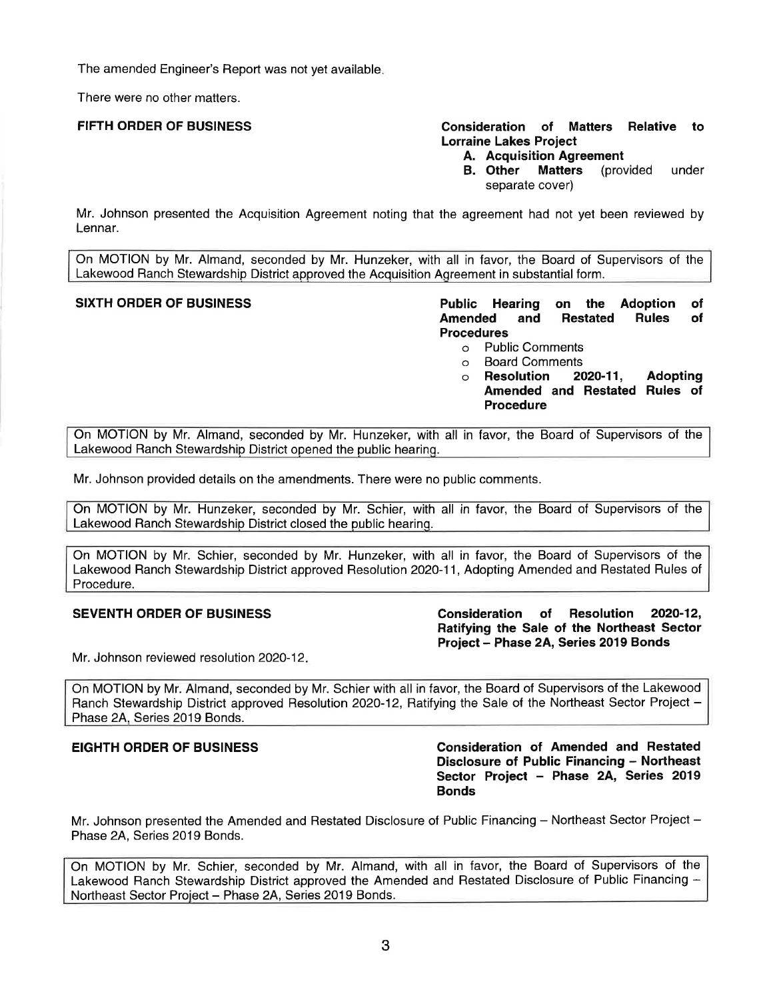The amended Engineer's Report was not yet available.

There were no other matters.

# **FIFTH ORDER OF BUSINESS Consideration of Matters Relative to Lorraine Lakes Project**

- **A. Acquisition Agreement**
- **B. Other Matters** (provided under separate cover)

Mr. Johnson presented the Acquisition Agreement noting that the agreement had not yet been reviewed by Lennar.

On MOTION by Mr. Almand, seconded by Mr. Hunzeker, with all in favor, the Board of Supervisors of the Lakewood Ranch Stewardship District approved the Acquisition Agreement in substantial form.

**SIXTH ORDER OF BUSINESS Public Hearing on the Adoption of Amended and Restated Rules of Procedures** 

- o Public Comments
- o Board Comments<br>○ **Resolution 2020-11,**
- o **Resolution 2020-11, Adopting Amended and Restated Rules of Procedure**

On MOTION by Mr. Almand, seconded by Mr. Hunzeker, with all in favor, the Board of Supervisors of the Lakewood Ranch Stewardship District opened the public hearing.

Mr. Johnson provided details on the amendments. There were no public comments.

On MOTION by Mr. Hunzeker, seconded by Mr. Schier, with all in favor, the Board of Supervisors of the Lakewood Ranch Stewardship District closed the public hearing.

On MOTION by Mr. Schier, seconded by Mr. Hunzeker, with all in favor, the Board of Supervisors of the Lakewood Ranch Stewardship District approved Resolution 2020-11, Adopting Amended and Restated Rules of Procedure.

**SEVENTH ORDER OF BUSINESS Consideration of Resolution 2020-12, Ratifying the Sale of the Northeast Sector Project - Phase 2A, Series 2019 Bonds** 

Mr. Johnson reviewed resolution 2020-12.

On MOTION by Mr. Almand, seconded by Mr. Schier with all in favor, the Board of Supervisors of the Lakewood Ranch Stewardship District approved Resolution 2020-12, Ratifying the Sale of the Northeast Sector Project -Phase 2A, Series 2019 Bonds.

**EIGHTH ORDER OF BUSINESS Consideration of Amended and Restated Disclosure of Public Financing - Northeast Sector Project - Phase 2A, Series 2019 Bonds** 

Mr. Johnson presented the Amended and Restated Disclosure of Public Financing - Northeast Sector Project -Phase 2A, Series 2019 Bonds.

On MOTION by Mr. Schier, seconded by Mr. Almand, with all in favor, the Board of Supervisors of the Lakewood Ranch Stewardship District approved the Amended and Restated Disclosure of Public Financing - Northeast Sector Project - Phase 2A, Series 2019 Bonds.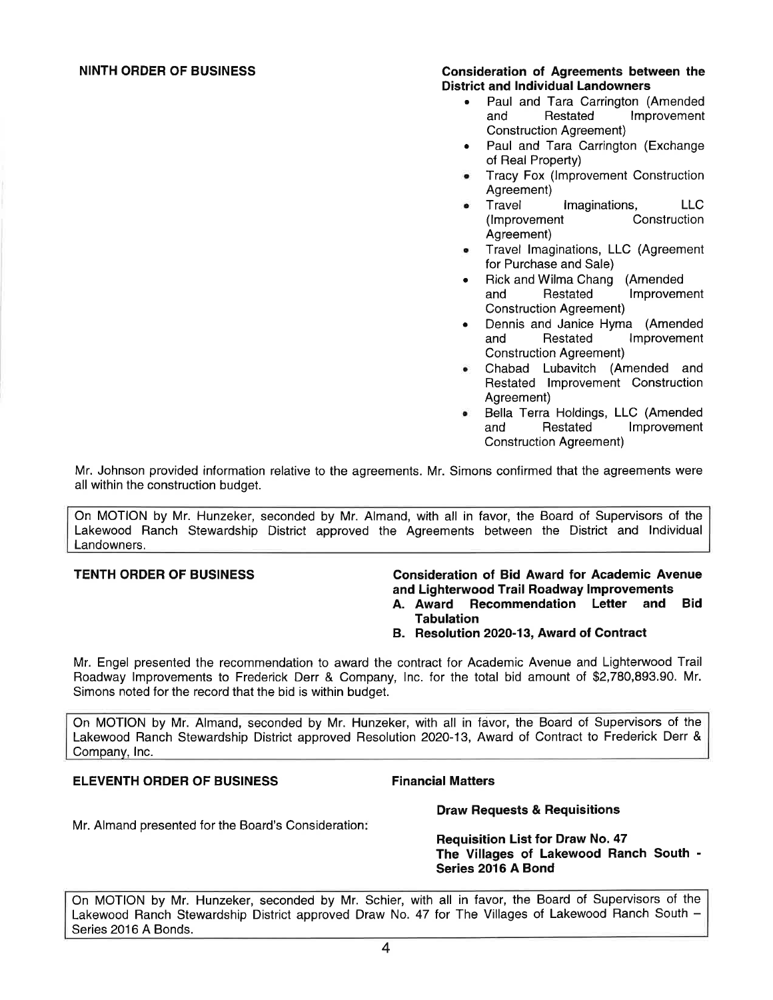# **NINTH ORDER OF BUSINESS Consideration of Agreements between the District and Individual Landowners**

- Paul and Tara Carrington (Amended and Restated Improvement Construction Agreement)
- Paul and Tara Carrington (Exchange of Real Property)
- Tracy Fox (Improvement Construction Agreement)
- Travel Imaginations, LLC (Improvement Construction Agreement)
- Travel Imaginations, LLC (Agreement for Purchase and Sale)
- Rick and Wilma Chang (Amended and Restated Improvement Construction Agreement)
- Dennis and Janice Hyma (Amended and Restated Improvement Construction Agreement)
- Chabad Lubavitch (Amended and Restated Improvement Construction Agreement)
- Bella Terra Holdings, LLC (Amended and Restated Improvement Construction Agreement)

Mr. Johnson provided information relative to the agreements. Mr. Simons confirmed that the agreements were all within the construction budget.

On MOTION by Mr. Hunzeker, seconded by Mr. Almand, with all in favor, the Board of Supervisors of the Lakewood Ranch Stewardship District approved the Agreements between the District and Individual Landowners.

# **TENTH ORDER OF BUSINESS Consideration of Bid Award for Academic Avenue and Lighterwood Trail Roadway Improvements**

- **A. Award Recommendation Letter and Bid Tabulation**
- **8. Resolution 2020-13, Award of Contract**

Mr. Engel presented the recommendation to award the contract for Academic Avenue and Lighterwood Trail Roadway Improvements to Frederick Derr & Company, Inc. for the total bid amount of \$[2,780,893.90](https://2,780,893.90). **Mr.**  Simons noted for the record that the bid is within budget.

On MOTION by Mr. Almand, seconded by Mr. Hunzeker, with all in favor, the Board of Supervisors of the Lakewood Ranch Stewardship District approved Resolution 2020-13, Award of Contract to Frederick Derr & Company, Inc.

# **ELEVENTH ORDER OF BUSINESS FINALLY Financial Matters**

Mr. Almand presented for the Board's Consideration:

# **Draw Requests & Requisitions**

**Requisition List for Draw No. 47 The Villages of Lakewood Ranch South** - **Series 2016 A Bond** 

On MOTION by Mr. Hunzeker, seconded by Mr. Schier, with all in favor, the Board of Supervisors of the Lakewood Ranch Stewardship District approved Draw No. 47 for The Villages of Lakewood Ranch South -Series 2016 A Bonds.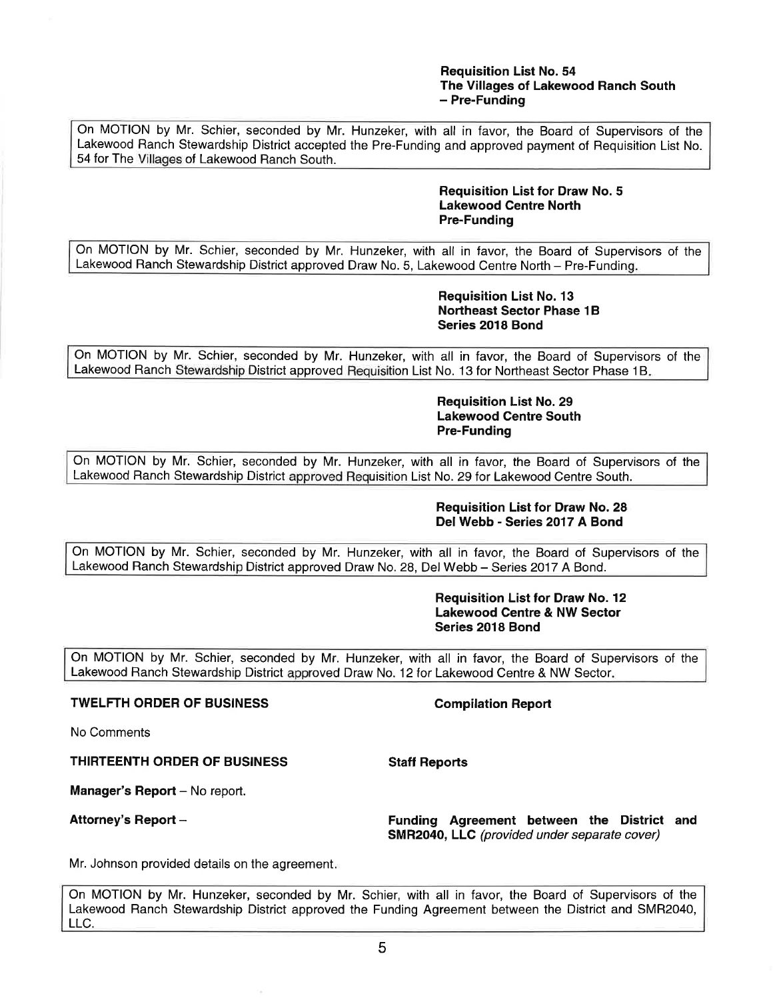# **Requisition List No. 54 The Villages of Lakewood Ranch South**  - **Pre-Funding**

On MOTION by Mr. Schier, seconded by Mr. Hunzeker, with all in favor, the Board of Supervisors of the Lakewood Ranch Stewardship District accepted the Pre-Funding and approved payment of Requisition List No. 54 for The Villages of Lakewood Ranch South.

# **Requisition List for Draw No. 5 Lakewood Centre North Pre-Funding**

On MOTION by Mr. Schier, seconded by Mr. Hunzeker, with all in favor, the Board of Supervisors of the Lakewood Ranch Stewardship District approved Draw No. 5, Lakewood Centre North - Pre-Funding.

# **Requisition List No. 13 Northeast Sector Phase 1B Series 2018 Bond**

On MOTION by Mr. Schier, seconded by Mr. Hunzeker, with all in favor, the Board of Supervisors of the Lakewood Ranch Stewardship District approved Requisition List No. 13 for Northeast Sector Phase 1B.

> **Requisition List No. 29 Lakewood Centre South Pre-Funding**

On MOTION by Mr. Schier, seconded by Mr. Hunzeker, with all in favor, the Board of Supervisors of the Lakewood Ranch Stewardship District approved Requisition List No. 29 for Lakewood Centre South.

# **Requisition List for Draw No. 28 Del Webb - Series 2017 A Bond**

On MOTION by Mr. Schier, seconded by Mr. Hunzeker, with all in favor, the Board of Supervisors of the Lakewood Ranch Stewardship District approved Draw No. 28, Del Webb - Series 2017 A Bond.

# **Requisition List for Draw No. 12 Lakewood Centre & NW Sector Series 2018 Bond**

On MOTION by Mr. Schier, seconded by Mr. Hunzeker, with all in favor, the Board of Supervisors of the Lakewood Ranch Stewardship District approved Draw No. 12 for Lakewood Centre & NW Sector.

# **TWELFTH ORDER OF BUSINESS Compilation Report**

No Comments

**THIRTEENTH ORDER OF BUSINESS Staff Reports** 

**Manager's Report** - No report.

**Attorney's Report** - **Funding Agreement between the District and SMR2040, LLC** (provided under separate cover)

Mr. Johnson provided details on the agreement.

On MOTION by Mr. Hunzeker, seconded by Mr. Schier, with all in favor, the Board of Supervisors of the Lakewood Ranch Stewardship District approved the Funding Agreement between the District and SMR2040, LLC.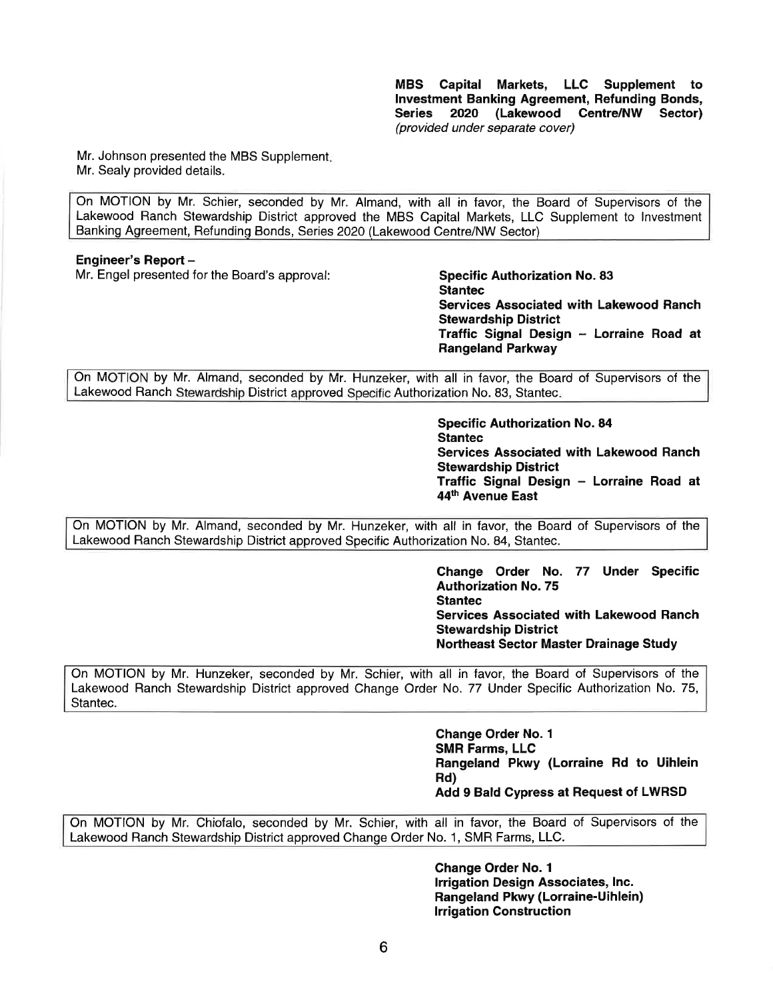**MBS Capital Markets, LLC Supplement to Investment Banking Agreement, Refunding Bonds, Series 2020 (Lakewood Centre/NW Sector)**  (provided under separate cover)

Mr. Johnson presented the MBS Supplement. Mr. Sealy provided details.

On MOTION by Mr. Schier, seconded by Mr. Almand, with all in favor, the Board of Supervisors of the Lakewood Ranch Stewardship District approved the MBS Capital Markets, LLC Supplement to Investment Banking Agreement, Refundinq Bonds, Series 2020 (Lakewood Centre/NW Sector)

# **Engineer's Report** -

Mr. Engel presented tor the Board's approval: **Specific Authorization No. 83** 

**Stantec Services Associated with Lakewood Ranch Stewardship District Traffic Signal Design** - **Lorraine Road at Rangeland Parkway** 

On MOTION by Mr. Almand, seconded by Mr. Hunzeker, with all in favor, the Board of Supervisors of the Lakewood Ranch Stewardship District approved Specific Authorization No. 83, Stantec.

> **Specific Authorization No. 84 Stantec Services Associated with Lakewood Ranch Stewardship District Traffic Signal Design** - **Lorraine Road at 44th Avenue East**

On MOTION by Mr. Almand, seconded by Mr. Hunzeker, with all in favor, the Board of Supervisors of the Lakewood Ranch Stewardship District approved Specific Authorization No. 84, Stantec.

> **Change Order No. 77 Under Specific Authorization No. 75 Stantec Services Associated with Lakewood Ranch Stewardship District Northeast Sector Master Drainage Study**

On MOTION by Mr. Hunzeker, seconded by Mr. Schier, with all in favor, the Board of Supervisors of the Lakewood Ranch Stewardship District approved Change Order No. 77 Under Specific Authorization No. 75, Stantec.

> **Change Order No. 1 SMR Farms, LLC Rangeland Pkwy (Lorraine Rd to Uihlein Rd) Add 9 Bald Cypress at Request of LWRSD**

On MOTION by Mr. Chiofalo, seconded by Mr. Schier, with all in favor, the Board of Supervisors of the Lakewood Ranch Stewardship District approved Change Order No. 1, SMR Farms, LLC.

> **Change Order No. 1 Irrigation Design Associates, Inc. Rangeland Pkwy (Lorraine-Uihlein) Irrigation Construction**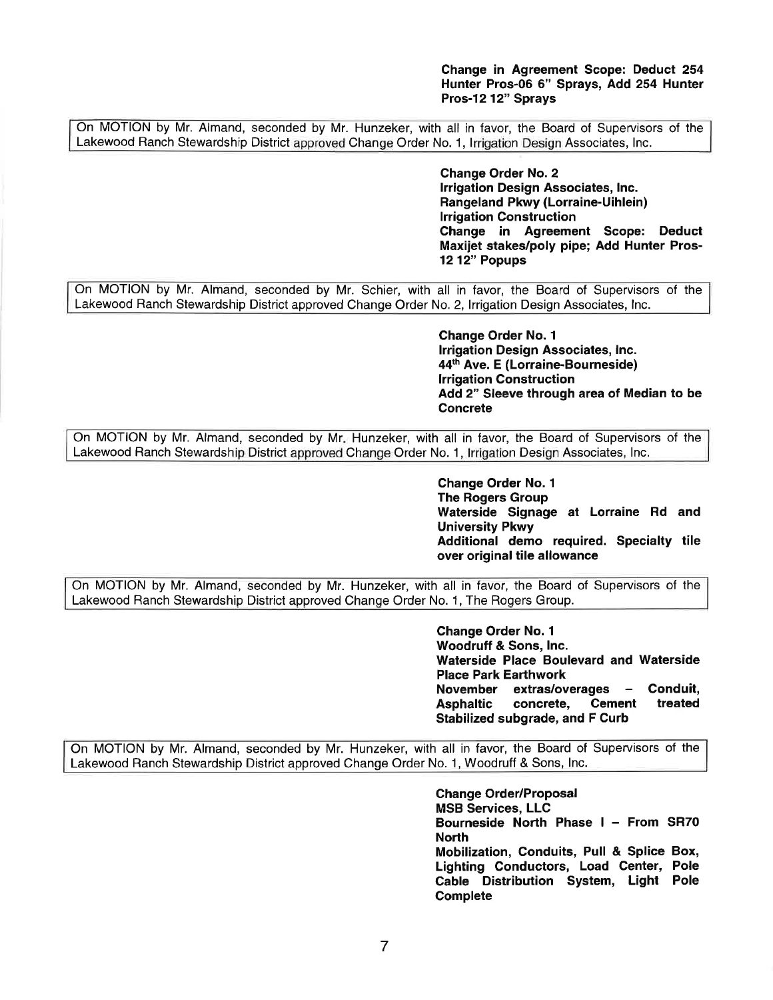**Change in Agreement Scope: Deduct 254 Hunter Pros-06 6" Sprays, Add 254 Hunter Pros-12 12" Sprays** 

On MOTION by Mr. Almand, seconded by Mr. Hunzeker, with all in favor, the Board of Supervisors of the Lakewood Ranch Stewardship District approved Change Order No. 1, Irrigation Design Associates, Inc.

> **Change Order No. 2 Irrigation Design Associates, Inc. Rangeland Pkwy (Lorraine-Uihlein) Irrigation Construction Change in Agreement Scope: Deduct Maxijet stakes/poly pipe; Add Hunter Pros-12 12" Popups**

On MOTION by Mr. Almand, seconded by Mr. Schier, with all in favor, the Board of Supervisors of the Lakewood Ranch Stewardship District approved Change Order No. 2, Irrigation Design Associates, Inc.

> **Change Order No. 1 Irrigation Design Associates, Inc. 44th Ave. E (Lorraine-Bourneside) Irrigation Construction Add 2" Sleeve through area of Median to be Concrete**

On MOTION by Mr. Almand, seconded by Mr. Hunzeker, with all in favor, the Board of Supervisors of the Lakewood Ranch Stewardship District approved Change Order No. 1, Irrigation Design Associates, Inc.

> **Change Order No. 1 The Rogers Group Waterside Signage at Lorraine Rd and University Pkwy Additional demo required. Specialty tile over original tile allowance**

On MOTION by Mr. Almand, seconded by Mr. Hunzeker, with all in favor, the Board of Supervisors of the Lakewood Ranch Stewardship District approved Change Order No. 1, The Rogers Group.

> **Change Order No. 1 Woodruff** & **Sons, Inc. Waterside Place Boulevard and Waterside Place Park Earthwork November extras/overages** - **Conduit,**  Asphaltic concrete, Cement **Stabilized subgrade, and F Curb**

On MOTION by Mr. Almand, seconded by Mr. Hunzeker, with all in favor, the Board of Supervisors of the Lakewood Ranch Stewardship District approved Change Order No. 1, Woodruff & Sons, Inc.

> **Change Order/Proposal MSB Services, LLC Bourneside North Phase** I - **From SR70 North Mobilization, Conduits, Pull** & **Splice Box, Lighting Conductors, Load Center, Pole Cable Distribution System, Light Pole Complete**